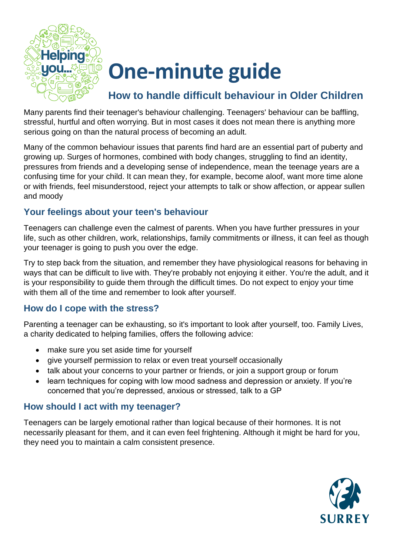

# **One-minute guide**

### **How to handle difficult behaviour in Older Children**

Many parents find their teenager's behaviour challenging. Teenagers' behaviour can be baffling, stressful, hurtful and often worrying. But in most cases it does not mean there is anything more serious going on than the natural process of becoming an adult.

Many of the common behaviour issues that parents find hard are an essential part of puberty and growing up. Surges of hormones, combined with body changes, struggling to find an identity, pressures from friends and a developing sense of independence, mean the teenage years are a confusing time for your child. It can mean they, for example, become aloof, want more time alone or with friends, feel misunderstood, reject your attempts to talk or show affection, or appear sullen and moody

#### **Your feelings about your teen's behaviour**

Teenagers can challenge even the calmest of parents. When you have further pressures in your life, such as other children, work, relationships, family commitments or illness, it can feel as though your teenager is going to push you over the edge.

Try to step back from the situation, and remember they have physiological reasons for behaving in ways that can be difficult to live with. They're probably not enjoying it either. You're the adult, and it is your responsibility to guide them through the difficult times. Do not expect to enjoy your time with them all of the time and remember to look after yourself.

#### **How do I cope with the stress?**

Parenting a teenager can be exhausting, so it's important to look after yourself, too. Family Lives, a charity dedicated to helping families, offers the following advice:

- make sure you set aside time for yourself
- give yourself permission to relax or even treat yourself occasionally
- talk about your concerns to your partner or friends, or join a support group or forum
- learn techniques for coping with low mood sadness and depression or anxiety. If you're concerned that you're depressed, anxious or stressed, talk to a GP

#### **How should I act with my teenager?**

Teenagers can be largely emotional rather than logical because of their hormones. It is not necessarily pleasant for them, and it can even feel frightening. Although it might be hard for you, they need you to maintain a calm consistent presence.